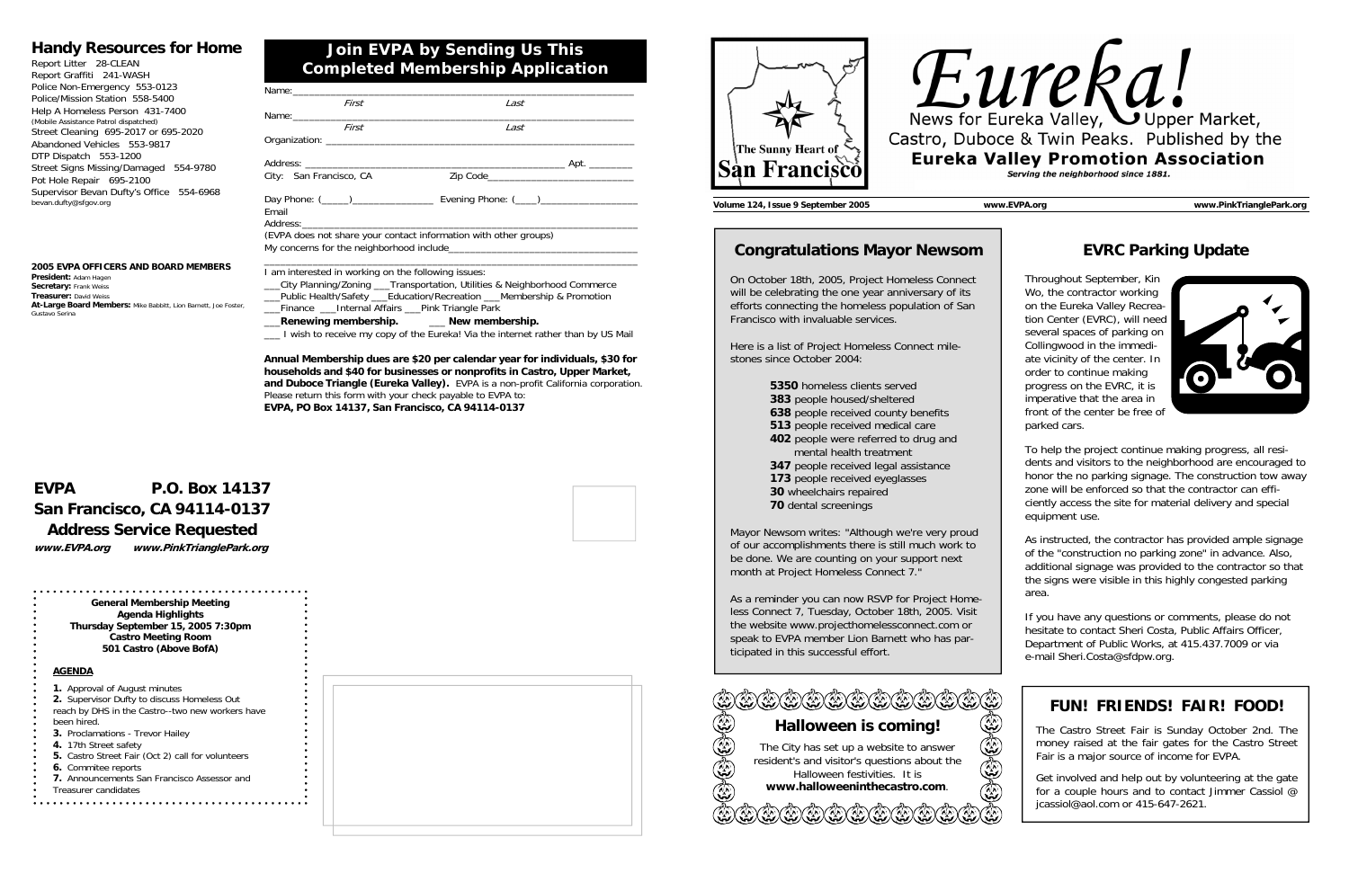## **Join EVPA by Sending Us This Completed Membership Application**

#### **Handy Resources for Home**

| Report Litter 28-CLEAN                   |
|------------------------------------------|
| Report Graffiti 241-WASH                 |
| Police Non-Emergency 553-0123            |
| Police/Mission Station 558-5400          |
| Help A Homeless Person 431-7400          |
| (Mobile Assistance Patrol dispatched)    |
| Street Cleaning 695-2017 or 695-2020     |
| Abandoned Vehicles 553-9817              |
| DTP Dispatch 553-1200                    |
| Street Signs Missing/Damaged<br>554-9780 |
| Pot Hole Repair 695-2100                 |
| Supervisor Bevan Dufty's Office 554-6968 |
| bevan.dufty@sfgov.org                    |

# **EVPA P.O. Box 14137 San Francisco, CA 94114-0137 Address Service Requested**

**www.EVPA.org www.PinkTrianglePark.org** 

**2005 EVPA OFFICERS AND BOARD MEMBERS** 

**President:** Adam Hagen **Secretary:** Frank Weiss **Treasurer:** David Weiss

**At-Large Board Members:** Mike Babbitt, Lion Barnett, Joe Foster,

Gustavo Serina

| Last                                                             |
|------------------------------------------------------------------|
|                                                                  |
|                                                                  |
|                                                                  |
|                                                                  |
|                                                                  |
|                                                                  |
| (EVPA does not share your contact information with other groups) |
|                                                                  |

\_\_\_City Planning/Zoning \_\_\_Transportation, Utilities & Neighborhood Commerce \_\_\_Public Health/Safety \_\_\_Education/Recreation \_\_\_Membership & Promotion \_\_\_Finance \_\_\_Internal Affairs \_\_\_Pink Triangle Park

- \_\_\_**Renewing membership.** \_\_\_ **New membership.**
- \_\_\_ I wish to receive my copy of the Eureka! Via the internet rather than by US Mail

**Annual Membership dues are \$20 per calendar year for individuals, \$30 for households and \$40 for businesses or nonprofits in Castro, Upper Market, and Duboce Triangle (Eureka Valley).** EVPA is a non-profit California corporation. Please return this form with your check payable to EVPA to: **EVPA, PO Box 14137, San Francisco, CA 94114-0137**

**General Membership Meeting Agenda Highlights Thursday September 15, 2005 7:30pm Castro Meeting Room 501 Castro (Above BofA)** 

#### **AGENDA**

| <b>1.</b> Approval of August minutes<br>2. Supervisor Dufty to discuss Homeless Out |  |  |  |
|-------------------------------------------------------------------------------------|--|--|--|
| reach by DHS in the Castro--two new workers have                                    |  |  |  |
| been hired.                                                                         |  |  |  |
| <b>3.</b> Proclamations - Trevor Hailey                                             |  |  |  |
| 4. 17th Street safety                                                               |  |  |  |
| 5. Castro Street Fair (Oct 2) call for volunteers                                   |  |  |  |
| 6. Commitee reports                                                                 |  |  |  |
| 7. Announcements San Francisco Assessor and                                         |  |  |  |
| Treasurer candidates                                                                |  |  |  |







**Volume 124, Issue 9 September 2005 www.EVPA.org www.PinkTrianglePark.org** 

### **Congratulations Mayor Newsom**

On October 18th, 2005, Project Homeless Connect will be celebrating the one year anniversary of its efforts connecting the homeless population of San Francisco with invaluable services.

Here is a list of Project Homeless Connect milestones since October 2004:

**5350** homeless clients served

- **383** people housed/sheltered
- **638** people received county benefits
- **513** people received medical care
- **402** people were referred to drug and **mental health treatment** 
	- **347** people received legal assistance
	- **173** people received eyeglasses
	- **30** wheelchairs repaired
	- **70** dental screenings

Mayor Newsom writes: "Although we're very proud of our accomplishments there is still much work to be done. We are counting on your support next month at Project Homeless Connect 7."

As a reminder you can now RSVP for Project Homeless Connect 7, Tuesday, October 18th, 2005. Visit the website www.projecthomelessconnect.com or speak to EVPA member Lion Barnett who has participated in this successful effort.

# **EVRC Parking Update**

Throughout September, Kin Wo, the contractor working on the Eureka Valley Recreation Center (EVRC), will need several spaces of parking on Collingwood in the immediate vicinity of the center. In order to continue making progress on the EVRC, it is imperative that the area in front of the center be free of parked cars.



To help the project continue making progress, all residents and visitors to the neighborhood are encouraged to honor the no parking signage. The construction tow away zone will be enforced so that the contractor can efficiently access the site for material delivery and special equipment use.

As instructed, the contractor has provided ample signage of the "construction no parking zone" in advance. Also, additional signage was provided to the contractor so that the signs were visible in this highly congested parking area.

If you have any questions or comments, please do not hesitate to contact Sheri Costa, Public Affairs Officer, Department of Public Works, at 415.437.7009 or via e-mail Sheri.Costa@sfdpw.org.

| $((\mathbb{Z}) (\mathbb{Z}) (\mathbb{Z}) (\mathbb{Z}) (\mathbb{Z}) (\mathbb{Z})$ |   |
|----------------------------------------------------------------------------------|---|
| Halloween is coming!                                                             |   |
| The City has set up a website to answer                                          | Ţ |
| resident's and visitor's questions about the<br>Halloween festivities. It is     | Ţ |
| www.halloweeninthecastro.com.                                                    | G |
|                                                                                  |   |
|                                                                                  |   |

## **FUN! FRIENDS! FAIR! FOOD!**

The Castro Street Fair is Sunday October 2nd. The money raised at the fair gates for the Castro Street Fair is a major source of income for EVPA.

Get involved and help out by volunteering at the gate for a couple hours and to contact Jimmer Cassiol @ jcassiol@aol.com or 415-647-2621.